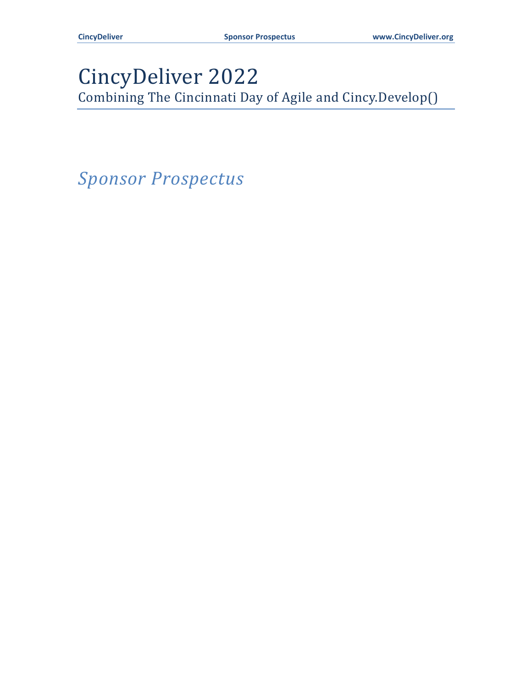# CincyDeliver 2022

Combining The Cincinnati Day of Agile and Cincy.Develop()

*Sponsor Prospectus*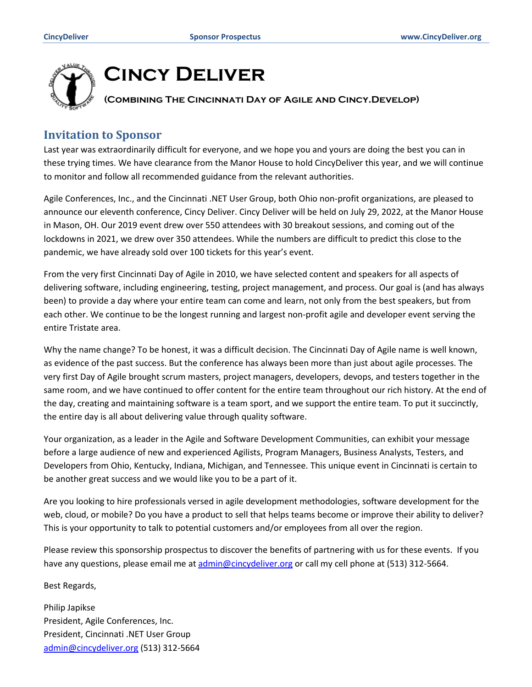

# **Cincy Deliver**

# **(Combining The Cincinnati Day of Agile and Cincy.Develop)**

## **Invitation to Sponsor**

Last year was extraordinarily difficult for everyone, and we hope you and yours are doing the best you can in these trying times. We have clearance from the Manor House to hold CincyDeliver this year, and we will continue to monitor and follow all recommended guidance from the relevant authorities.

Agile Conferences, Inc., and the Cincinnati .NET User Group, both Ohio non-profit organizations, are pleased to announce our eleventh conference, Cincy Deliver. Cincy Deliver will be held on July 29, 2022, at the Manor House in Mason, OH. Our 2019 event drew over 550 attendees with 30 breakout sessions, and coming out of the lockdowns in 2021, we drew over 350 attendees. While the numbers are difficult to predict this close to the pandemic, we have already sold over 100 tickets for this year's event.

From the very first Cincinnati Day of Agile in 2010, we have selected content and speakers for all aspects of delivering software, including engineering, testing, project management, and process. Our goal is (and has always been) to provide a day where your entire team can come and learn, not only from the best speakers, but from each other. We continue to be the longest running and largest non-profit agile and developer event serving the entire Tristate area.

Why the name change? To be honest, it was a difficult decision. The Cincinnati Day of Agile name is well known, as evidence of the past success. But the conference has always been more than just about agile processes. The very first Day of Agile brought scrum masters, project managers, developers, devops, and testers together in the same room, and we have continued to offer content for the entire team throughout our rich history. At the end of the day, creating and maintaining software is a team sport, and we support the entire team. To put it succinctly, the entire day is all about delivering value through quality software.

Your organization, as a leader in the Agile and Software Development Communities, can exhibit your message before a large audience of new and experienced Agilists, Program Managers, Business Analysts, Testers, and Developers from Ohio, Kentucky, Indiana, Michigan, and Tennessee. This unique event in Cincinnati is certain to be another great success and we would like you to be a part of it.

Are you looking to hire professionals versed in agile development methodologies, software development for the web, cloud, or mobile? Do you have a product to sell that helps teams become or improve their ability to deliver? This is your opportunity to talk to potential customers and/or employees from all over the region.

Please review this sponsorship prospectus to discover the benefits of partnering with us for these events. If you have any questions, please email me at [admin@cincydeliver.org](mailto:admin@cincydeliver.org) or call my cell phone at (513) 312-5664.

#### Best Regards,

Philip Japikse President, Agile Conferences, Inc. President, Cincinnati .NET User Group [admin@cincydeliver.org](mailto:admin@cincydeliver.org) (513) 312-5664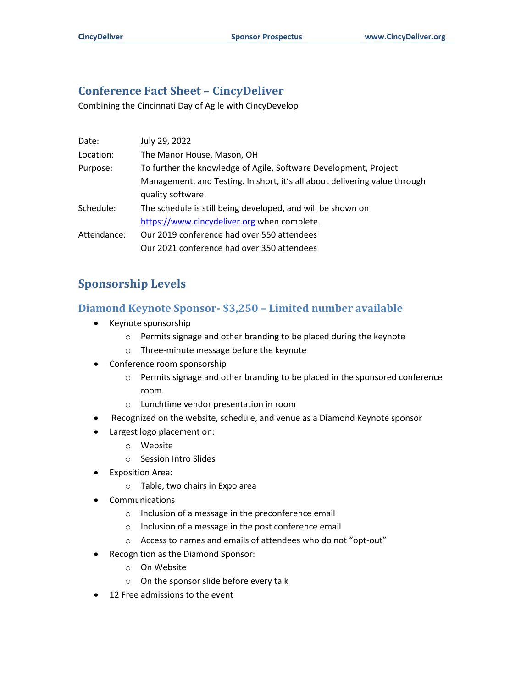# **Conference Fact Sheet – CincyDeliver**

Combining the Cincinnati Day of Agile with CincyDevelop

| Date:       | July 29, 2022                                                              |
|-------------|----------------------------------------------------------------------------|
| Location:   | The Manor House, Mason, OH                                                 |
| Purpose:    | To further the knowledge of Agile, Software Development, Project           |
|             | Management, and Testing. In short, it's all about delivering value through |
|             | quality software.                                                          |
| Schedule:   | The schedule is still being developed, and will be shown on                |
|             | https://www.cincydeliver.org when complete.                                |
| Attendance: | Our 2019 conference had over 550 attendees                                 |
|             | Our 2021 conference had over 350 attendees                                 |

#### **Sponsorship Levels**

#### **Diamond Keynote Sponsor- \$3,250 – Limited number available**

- Keynote sponsorship
	- o Permits signage and other branding to be placed during the keynote
	- o Three-minute message before the keynote
- Conference room sponsorship
	- o Permits signage and other branding to be placed in the sponsored conference room.
	- o Lunchtime vendor presentation in room
- Recognized on the website, schedule, and venue as a Diamond Keynote sponsor
- Largest logo placement on:
	- o Website
	- o Session Intro Slides
- Exposition Area:
	- o Table, two chairs in Expo area
- **Communications** 
	- o Inclusion of a message in the preconference email
	- o Inclusion of a message in the post conference email
	- o Access to names and emails of attendees who do not "opt-out"
- Recognition as the Diamond Sponsor:
	- o On Website
	- o On the sponsor slide before every talk
- 12 Free admissions to the event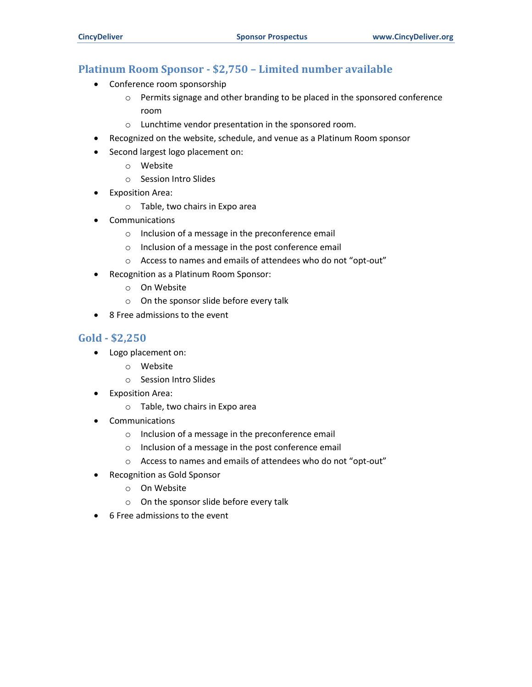#### **Platinum Room Sponsor - \$2,750 – Limited number available**

- Conference room sponsorship
	- o Permits signage and other branding to be placed in the sponsored conference room
	- o Lunchtime vendor presentation in the sponsored room.
- Recognized on the website, schedule, and venue as a Platinum Room sponsor
- Second largest logo placement on:
	- o Website
	- o Session Intro Slides
- Exposition Area:
	- o Table, two chairs in Expo area
- **Communications** 
	- o Inclusion of a message in the preconference email
	- o Inclusion of a message in the post conference email
	- o Access to names and emails of attendees who do not "opt-out"
- Recognition as a Platinum Room Sponsor:
	- o On Website
	- o On the sponsor slide before every talk
- 8 Free admissions to the event

#### **Gold - \$2,250**

- Logo placement on:
	- o Website
	- o Session Intro Slides
- Exposition Area:
	- o Table, two chairs in Expo area
- **Communications** 
	- o Inclusion of a message in the preconference email
	- o Inclusion of a message in the post conference email
	- o Access to names and emails of attendees who do not "opt-out"
- Recognition as Gold Sponsor
	- o On Website
	- o On the sponsor slide before every talk
- 6 Free admissions to the event